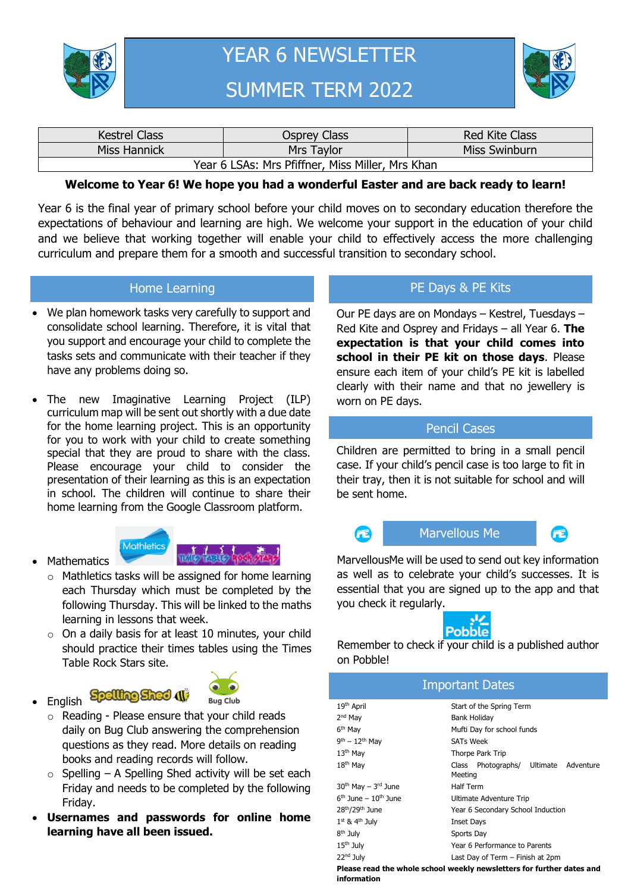



| <b>Kestrel Class</b>                             | Osprey Class | <b>Red Kite Class</b> |  |  |  |
|--------------------------------------------------|--------------|-----------------------|--|--|--|
| Miss Hannick<br>Mrs Taylor                       |              | Miss Swinburn         |  |  |  |
| Year 6 LSAs: Mrs Pfiffner, Miss Miller, Mrs Khan |              |                       |  |  |  |

#### **Welcome to Year 6! We hope you had a wonderful Easter and are back ready to learn!**

Year 6 is the final year of primary school before your child moves on to secondary education therefore the expectations of behaviour and learning are high. We welcome your support in the education of your child and we believe that working together will enable your child to effectively access the more challenging curriculum and prepare them for a smooth and successful transition to secondary school.

#### Home Learning

- We plan homework tasks very carefully to support and consolidate school learning. Therefore, it is vital that you support and encourage your child to complete the tasks sets and communicate with their teacher if they have any problems doing so.
- The new Imaginative Learning Project (ILP) curriculum map will be sent out shortly with a due date for the home learning project. This is an opportunity for you to work with your child to create something special that they are proud to share with the class. Please encourage your child to consider the presentation of their learning as this is an expectation in school. The children will continue to share their home learning from the Google Classroom platform.



**Spelling Shed 41** 



- o Mathletics tasks will be assigned for home learning each Thursday which must be completed by the following Thursday. This will be linked to the maths learning in lessons that week.
- o On a daily basis for at least 10 minutes, your child should practice their times tables using the Times Table Rock Stars site.
- English

**Mathematics** 



- o Reading Please ensure that your child reads daily on Bug Club answering the comprehension questions as they read. More details on reading books and reading records will follow.
- $\circ$  Spelling A Spelling Shed activity will be set each Friday and needs to be completed by the following Friday.
- **Usernames and passwords for online home learning have all been issued.**

## PE Days & PE Kits

Our PE days are on Mondays – Kestrel, Tuesdays – Red Kite and Osprey and Fridays – all Year 6. **The expectation is that your child comes into school in their PE kit on those days**. Please ensure each item of your child's PE kit is labelled clearly with their name and that no jewellery is worn on PE days.

#### Pencil Cases

Children are permitted to bring in a small pencil case. If your child's pencil case is too large to fit in their tray, then it is not suitable for school and will be sent home.



### Marvellous Me

**FE** 

MarvellousMe will be used to send out key information as well as to celebrate your child's successes. It is essential that you are signed up to the app and that you check it regularly.



Remember to check if your child is a published author on Pobble!

| <b>Important Dates</b>                                                               |                                                        |  |  |  |  |  |
|--------------------------------------------------------------------------------------|--------------------------------------------------------|--|--|--|--|--|
| 19 <sup>th</sup> April                                                               | Start of the Spring Term                               |  |  |  |  |  |
| $2nd$ Mav                                                                            | <b>Bank Holiday</b>                                    |  |  |  |  |  |
| 6 <sup>th</sup> May                                                                  | Mufti Day for school funds                             |  |  |  |  |  |
| $9th - 12th$ May                                                                     | <b>SATs Week</b>                                       |  |  |  |  |  |
| 13 <sup>th</sup> May                                                                 | Thorpe Park Trip                                       |  |  |  |  |  |
| 18 <sup>th</sup> May                                                                 | Photographs/ Ultimate<br>Adventure<br>Class<br>Meeting |  |  |  |  |  |
| $30th$ May $- 3rd$ June                                                              | <b>Half Term</b>                                       |  |  |  |  |  |
| $6th$ June – $10th$ June                                                             | Ultimate Adventure Trip                                |  |  |  |  |  |
| 28 <sup>th</sup> /29 <sup>th</sup> June                                              | Year 6 Secondary School Induction                      |  |  |  |  |  |
| $1st$ & $4th$ July                                                                   | Inset Days                                             |  |  |  |  |  |
| 8 <sup>th</sup> July                                                                 | Sports Day                                             |  |  |  |  |  |
| $15th$ July                                                                          | Year 6 Performance to Parents                          |  |  |  |  |  |
| 22 <sup>nd</sup> July                                                                | Last Day of Term - Finish at 2pm                       |  |  |  |  |  |
| Please read the whole school weekly newsletters for further dates and<br>information |                                                        |  |  |  |  |  |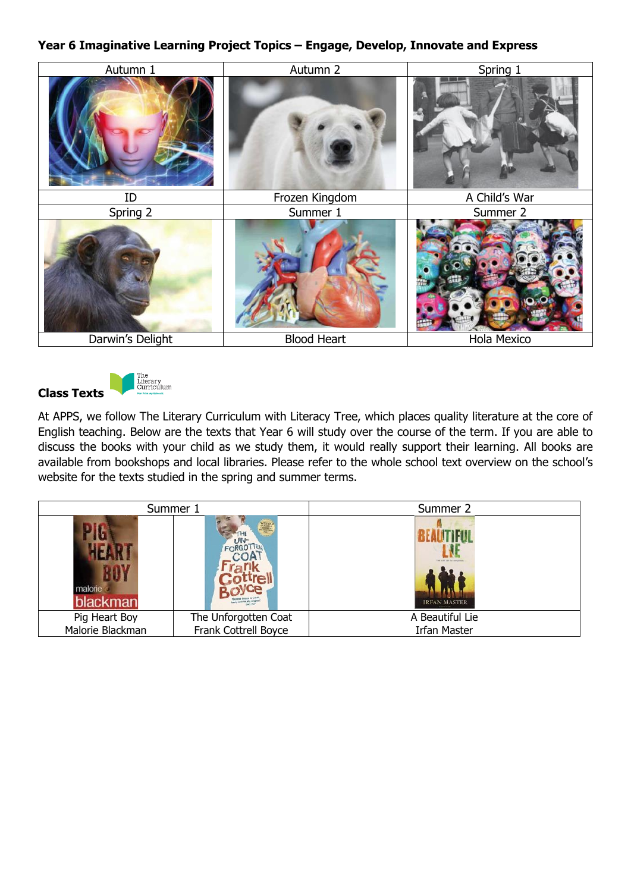## **Year 6 Imaginative Learning Project Topics – Engage, Develop, Innovate and Express**





At APPS, we follow The Literary Curriculum with Literacy Tree, which places quality literature at the core of English teaching. Below are the texts that Year 6 will study over the course of the term. If you are able to discuss the books with your child as we study them, it would really support their learning. All books are available from bookshops and local libraries. Please refer to the whole school text overview on the school's website for the texts studied in the spring and summer terms.

| Summer 1            |                         | Summer 2                                           |
|---------------------|-------------------------|----------------------------------------------------|
| malorie<br>blackman | WINNER<br>UN.<br>FORGO. | The built use he storyprous<br><b>IRFAN MASTER</b> |
| Pig Heart Boy       | The Unforgotten Coat    | A Beautiful Lie                                    |
| Malorie Blackman    | Frank Cottrell Boyce    | <b>Irfan Master</b>                                |